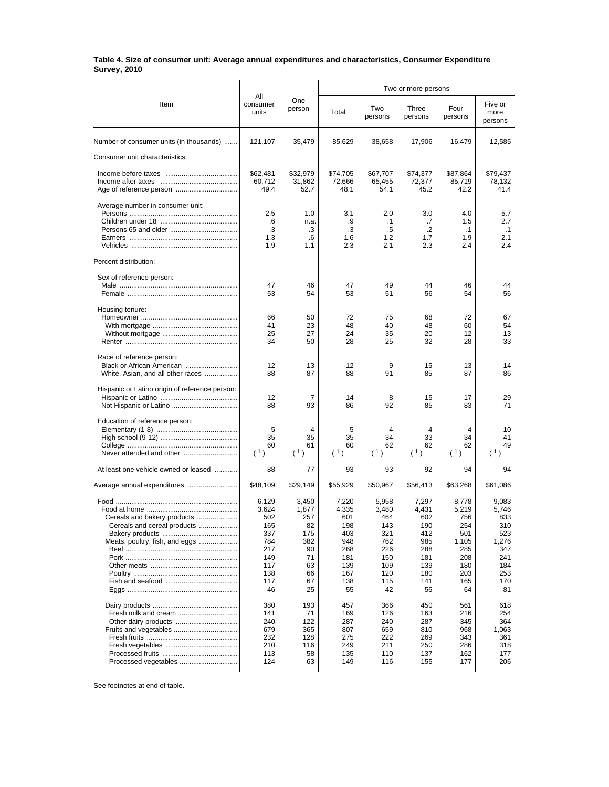## **Table 4. Size of consumer unit: Average annual expenditures and characteristics, Consumer Expenditure Survey, 2010**

| Item                                                                                         | All                                                                                 | One<br>person                                                                 | Two or more persons                                                                 |                                                                                     |                                                                                     |                                                                                       |                                                                                       |
|----------------------------------------------------------------------------------------------|-------------------------------------------------------------------------------------|-------------------------------------------------------------------------------|-------------------------------------------------------------------------------------|-------------------------------------------------------------------------------------|-------------------------------------------------------------------------------------|---------------------------------------------------------------------------------------|---------------------------------------------------------------------------------------|
|                                                                                              | consumer<br>units                                                                   |                                                                               | Total                                                                               | Two<br>persons                                                                      | Three<br>persons                                                                    | Four<br>persons                                                                       | Five or<br>more<br>persons                                                            |
| Number of consumer units (in thousands)                                                      | 121,107                                                                             | 35,479                                                                        | 85,629                                                                              | 38,658                                                                              | 17,906                                                                              | 16,479                                                                                | 12,585                                                                                |
| Consumer unit characteristics:                                                               |                                                                                     |                                                                               |                                                                                     |                                                                                     |                                                                                     |                                                                                       |                                                                                       |
|                                                                                              | \$62,481<br>60,712<br>49.4                                                          | \$32,979<br>31,862<br>52.7                                                    | \$74,705<br>72,666<br>48.1                                                          | \$67,707<br>65,455<br>54.1                                                          | \$74,377<br>72,377<br>45.2                                                          | \$87,864<br>85,719<br>42.2                                                            | \$79,437<br>78,132<br>41.4                                                            |
| Average number in consumer unit:                                                             | 2.5<br>.6<br>.3<br>1.3<br>1.9                                                       | 1.0<br>n.a.<br>.3<br>$.6\phantom{0}$<br>1.1                                   | 3.1<br>.9<br>.3<br>1.6<br>2.3                                                       | 2.0<br>$\cdot$ 1<br>.5<br>1.2<br>2.1                                                | 3.0<br>.7<br>$\cdot$<br>1.7<br>2.3                                                  | 4.0<br>1.5<br>$\cdot$ 1<br>1.9<br>2.4                                                 | 5.7<br>2.7<br>$\cdot$ 1<br>2.1<br>2.4                                                 |
| Percent distribution:                                                                        |                                                                                     |                                                                               |                                                                                     |                                                                                     |                                                                                     |                                                                                       |                                                                                       |
| Sex of reference person:                                                                     | 47<br>53                                                                            | 46<br>54                                                                      | 47<br>53                                                                            | 49<br>51                                                                            | 44<br>56                                                                            | 46<br>54                                                                              | 44<br>56                                                                              |
| Housing tenure:                                                                              | 66<br>41<br>25<br>34                                                                | 50<br>23<br>27<br>50                                                          | 72<br>48<br>24<br>28                                                                | 75<br>40<br>35<br>25                                                                | 68<br>48<br>20<br>32                                                                | 72<br>60<br>12<br>28                                                                  | 67<br>54<br>13<br>33                                                                  |
| Race of reference person:<br>Black or African-American<br>White, Asian, and all other races  | 12<br>88                                                                            | 13<br>87                                                                      | 12<br>88                                                                            | 9<br>91                                                                             | 15<br>85                                                                            | 13<br>87                                                                              | 14<br>86                                                                              |
| Hispanic or Latino origin of reference person:                                               | 12<br>88                                                                            | 7<br>93                                                                       | 14<br>86                                                                            | 8<br>92                                                                             | 15<br>85                                                                            | 17<br>83                                                                              | 29<br>71                                                                              |
| Education of reference person:                                                               | 5<br>35<br>60<br>(1)                                                                | 4<br>35<br>61<br>(1)                                                          | 5<br>35<br>60<br>(1)                                                                | 4<br>34<br>62<br>(1)                                                                | 4<br>33<br>62<br>(1)                                                                | 4<br>34<br>62<br>(1)                                                                  | 10<br>41<br>49<br>(1)                                                                 |
| At least one vehicle owned or leased                                                         | 88                                                                                  | 77                                                                            | 93                                                                                  | 93                                                                                  | 92                                                                                  | 94                                                                                    | 94                                                                                    |
|                                                                                              | \$48,109                                                                            | \$29,149                                                                      | \$55,929                                                                            | \$50,967                                                                            | \$56,413                                                                            | \$63,268                                                                              | \$61,086                                                                              |
| Cereals and bakery products<br>Cereals and cereal products<br>Meats, poultry, fish, and eggs | 6,129<br>3,624<br>502<br>165<br>337<br>784<br>217<br>149<br>117<br>138<br>117<br>46 | 3,450<br>1,877<br>257<br>82<br>175<br>382<br>90<br>71<br>63<br>66<br>67<br>25 | 7,220<br>4,335<br>601<br>198<br>403<br>948<br>268<br>181<br>139<br>167<br>138<br>55 | 5,958<br>3,480<br>464<br>143<br>321<br>762<br>226<br>150<br>109<br>120<br>115<br>42 | 7,297<br>4,431<br>602<br>190<br>412<br>985<br>288<br>181<br>139<br>180<br>141<br>56 | 8,778<br>5,219<br>756<br>254<br>501<br>1,105<br>285<br>208<br>180<br>203<br>165<br>64 | 9,083<br>5,746<br>833<br>310<br>523<br>1,276<br>347<br>241<br>184<br>253<br>170<br>81 |
| Fruits and vegetables<br>Processed vegetables                                                | 380<br>141<br>240<br>679<br>232<br>210<br>113<br>124                                | 193<br>71<br>122<br>365<br>128<br>116<br>58<br>63                             | 457<br>169<br>287<br>807<br>275<br>249<br>135<br>149                                | 366<br>126<br>240<br>659<br>222<br>211<br>110<br>116                                | 450<br>163<br>287<br>810<br>269<br>250<br>137<br>155                                | 561<br>216<br>345<br>968<br>343<br>286<br>162<br>177                                  | 618<br>254<br>364<br>1,063<br>361<br>318<br>177<br>206                                |

See footnotes at end of table.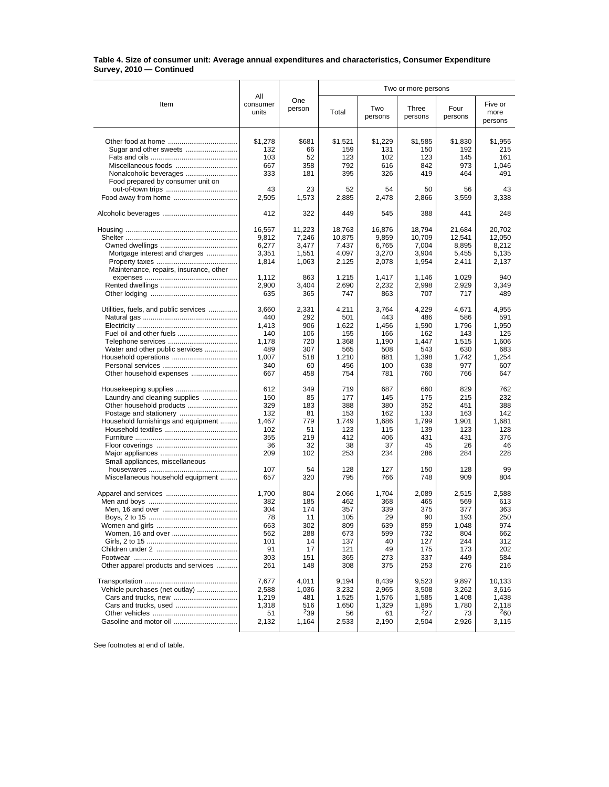## **Table 4. Size of consumer unit: Average annual expenditures and characteristics, Consumer Expenditure Survey, 2010 — Continued**

|                                                                         | All                                        |                                            | Two or more persons                         |                                            |                                             |                                             |                                             |
|-------------------------------------------------------------------------|--------------------------------------------|--------------------------------------------|---------------------------------------------|--------------------------------------------|---------------------------------------------|---------------------------------------------|---------------------------------------------|
| Item                                                                    | consumer<br>units                          | One<br>person                              | Total                                       | Two<br>persons                             | Three<br>persons                            | Four<br>persons                             | Five or<br>more<br>persons                  |
|                                                                         | \$1,278                                    | \$681                                      | \$1,521                                     | \$1,229                                    | \$1,585                                     | \$1,830                                     | \$1,955                                     |
|                                                                         | 132                                        | 66                                         | 159                                         | 131                                        | 150                                         | 192                                         | 215                                         |
|                                                                         | 103                                        | 52                                         | 123                                         | 102                                        | 123                                         | 145                                         | 161                                         |
| Miscellaneous foods                                                     | 667                                        | 358                                        | 792                                         | 616                                        | 842                                         | 973                                         | 1,046                                       |
| Nonalcoholic beverages<br>Food prepared by consumer unit on             | 333                                        | 181                                        | 395                                         | 326                                        | 419                                         | 464                                         | 491                                         |
|                                                                         | 43                                         | 23                                         | 52                                          | 54                                         | 50                                          | 56                                          | 43                                          |
|                                                                         | 2,505                                      | 1,573                                      | 2,885                                       | 2,478                                      | 2,866                                       | 3,559                                       | 3,338                                       |
|                                                                         | 412                                        | 322                                        | 449                                         | 545                                        | 388                                         | 441                                         | 248                                         |
| Mortgage interest and charges<br>Maintenance, repairs, insurance, other | 16,557<br>9,812<br>6,277<br>3,351<br>1,814 | 11,223<br>7,246<br>3,477<br>1,551<br>1,063 | 18,763<br>10,875<br>7,437<br>4,097<br>2,125 | 16,876<br>9,859<br>6,765<br>3,270<br>2,078 | 18,794<br>10,709<br>7,004<br>3,904<br>1,954 | 21,684<br>12,541<br>8,895<br>5,455<br>2,411 | 20,702<br>12,050<br>8,212<br>5,135<br>2,137 |
|                                                                         | 1,112                                      | 863                                        | 1,215                                       | 1,417                                      | 1.146                                       | 1,029                                       | 940                                         |
|                                                                         | 2,900                                      | 3,404                                      | 2,690                                       | 2,232                                      | 2,998                                       | 2,929                                       | 3,349                                       |
|                                                                         | 635                                        | 365                                        | 747                                         | 863                                        | 707                                         | 717                                         | 489                                         |
| Utilities, fuels, and public services                                   | 3,660                                      | 2,331                                      | 4,211                                       | 3,764                                      | 4,229                                       | 4,671                                       | 4,955                                       |
|                                                                         | 440                                        | 292                                        | 501                                         | 443                                        | 486                                         | 586                                         | 591                                         |
|                                                                         | 1,413                                      | 906                                        | 1,622                                       | 1,456                                      | 1,590                                       | 1,796                                       | 1,950                                       |
|                                                                         | 140                                        | 106                                        | 155                                         | 166                                        | 162                                         | 143                                         | 125                                         |
|                                                                         | 1,178                                      | 720                                        | 1,368                                       | 1,190                                      | 1,447                                       | 1,515                                       | 1,606                                       |
| Water and other public services                                         | 489                                        | 307                                        | 565                                         | 508                                        | 543                                         | 630                                         | 683                                         |
|                                                                         | 1,007                                      | 518                                        | 1.210                                       | 881                                        | 1,398                                       | 1.742                                       | 1,254                                       |
|                                                                         | 340                                        | 60                                         | 456                                         | 100                                        | 638                                         | 977                                         | 607                                         |
| Other household expenses                                                | 667                                        | 458                                        | 754                                         | 781                                        | 760                                         | 766                                         | 647                                         |
| Housekeeping supplies                                                   | 612                                        | 349                                        | 719                                         | 687                                        | 660                                         | 829                                         | 762                                         |
| Laundry and cleaning supplies                                           | 150                                        | 85                                         | 177                                         | 145                                        | 175                                         | 215                                         | 232                                         |
|                                                                         | 329                                        | 183                                        | 388                                         | 380                                        | 352                                         | 451                                         | 388                                         |
|                                                                         | 132                                        | 81                                         | 153                                         | 162                                        | 133                                         | 163                                         | 142                                         |
| Household furnishings and equipment                                     | 1,467                                      | 779                                        | 1,749                                       | 1,686                                      | 1,799                                       | 1,901                                       | 1,681                                       |
|                                                                         | 102                                        | 51                                         | 123                                         | 115                                        | 139                                         | 123                                         | 128                                         |
|                                                                         | 355                                        | 219                                        | 412                                         | 406                                        | 431                                         | 431                                         | 376                                         |
|                                                                         | 36                                         | 32                                         | 38                                          | 37                                         | 45                                          | 26                                          | 46                                          |
|                                                                         | 209                                        | 102                                        | 253                                         | 234                                        | 286                                         | 284                                         | 228                                         |
| Small appliances, miscellaneous<br>Miscellaneous household equipment    | 107<br>657                                 | 54<br>320                                  | 128<br>795                                  | 127<br>766                                 | 150<br>748                                  | 128<br>909                                  | 99<br>804                                   |
|                                                                         | 1,700                                      | 804                                        | 2,066                                       | 1,704                                      | 2,089                                       | 2,515                                       | 2,588                                       |
|                                                                         | 382                                        | 185                                        | 462                                         | 368                                        | 465                                         | 569                                         | 613                                         |
|                                                                         | 304                                        | 174                                        | 357                                         | 339                                        | 375                                         | 377                                         | 363                                         |
|                                                                         | 78                                         | 11                                         | 105                                         | 29                                         | 90                                          | 193                                         | 250                                         |
|                                                                         | 663                                        | 302                                        | 809                                         | 639                                        | 859                                         | 1,048                                       | 974                                         |
|                                                                         | 562                                        | 288                                        | 673                                         | 599                                        | 732                                         | 804                                         | 662                                         |
|                                                                         | 101                                        | 14                                         | 137                                         | 40                                         | 127                                         | 244                                         | 312                                         |
|                                                                         | 91                                         | 17                                         | 121                                         | 49                                         | 175                                         | 173                                         | 202                                         |
|                                                                         | 303                                        | 151                                        | 365                                         | 273                                        | 337                                         | 449                                         | 584                                         |
| Other apparel products and services                                     | 261                                        | 148                                        | 308                                         | 375                                        | 253                                         | 276                                         | 216                                         |
|                                                                         | 7,677                                      | 4,011                                      | 9,194                                       | 8,439                                      | 9,523                                       | 9,897                                       | 10,133                                      |
| Vehicle purchases (net outlay)                                          | 2,588                                      | 1,036                                      | 3,232                                       | 2,965                                      | 3,508                                       | 3,262                                       | 3,616                                       |
|                                                                         | 1,219                                      | 481                                        | 1,525                                       | 1,576                                      | 1,585                                       | 1,408                                       | 1,438                                       |
| Cars and trucks, used                                                   | 1,318                                      | 516                                        | 1,650                                       | 1,329                                      | 1,895                                       | 1,780                                       | 2,118                                       |
|                                                                         | 51                                         | $^{2}39$                                   | 56                                          | 61                                         | $^{2}27$                                    | 73                                          | $^{2}60$                                    |
|                                                                         | 2,132                                      | 1,164                                      | 2,533                                       | 2,190                                      | 2,504                                       | 2,926                                       | 3,115                                       |

See footnotes at end of table.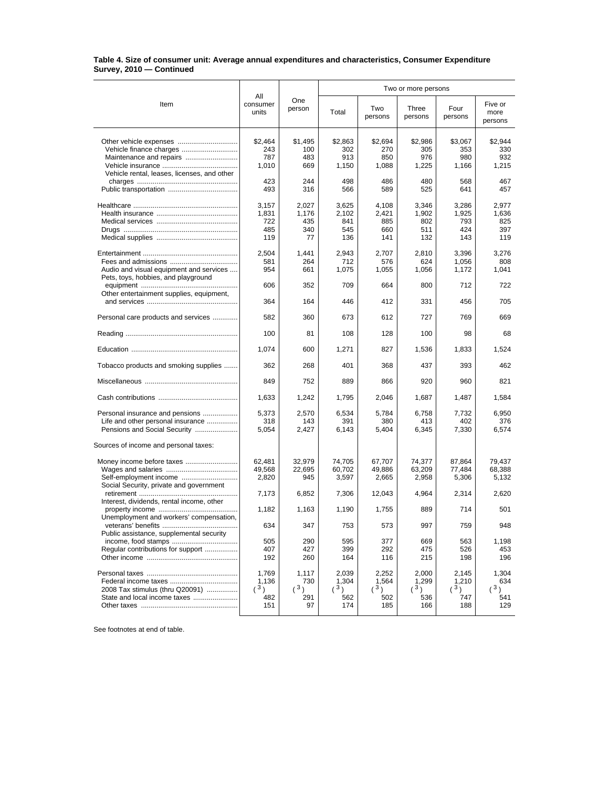## **Table 4. Size of consumer unit: Average annual expenditures and characteristics, Consumer Expenditure Survey, 2010 — Continued**

|                                                                                                      | All                                 | One<br>person                      | Two or more persons                 |                                     |                                     |                                     |                                     |
|------------------------------------------------------------------------------------------------------|-------------------------------------|------------------------------------|-------------------------------------|-------------------------------------|-------------------------------------|-------------------------------------|-------------------------------------|
| Item                                                                                                 | consumer<br>units                   |                                    | Total                               | Two<br>persons                      | Three<br>persons                    | Four<br>persons                     | Five or<br>more<br>persons          |
|                                                                                                      | \$2,464<br>243                      | \$1.495<br>100                     | \$2,863<br>302                      | \$2,694<br>270                      | \$2,986<br>305                      | \$3,067<br>353                      | \$2,944<br>330                      |
| Vehicle rental, leases, licenses, and other                                                          | 787<br>1,010                        | 483<br>669                         | 913<br>1,150                        | 850<br>1,088                        | 976<br>1,225                        | 980<br>1,166                        | 932<br>1,215                        |
|                                                                                                      | 423<br>493                          | 244<br>316                         | 498<br>566                          | 486<br>589                          | 480<br>525                          | 568<br>641                          | 467<br>457                          |
|                                                                                                      | 3,157<br>1,831<br>722<br>485<br>119 | 2.027<br>1,176<br>435<br>340<br>77 | 3,625<br>2,102<br>841<br>545<br>136 | 4,108<br>2,421<br>885<br>660<br>141 | 3,346<br>1,902<br>802<br>511<br>132 | 3,286<br>1,925<br>793<br>424<br>143 | 2,977<br>1,636<br>825<br>397<br>119 |
| Audio and visual equipment and services<br>Pets, toys, hobbies, and playground                       | 2,504<br>581<br>954                 | 1,441<br>264<br>661                | 2,943<br>712<br>1,075               | 2,707<br>576<br>1,055               | 2,810<br>624<br>1,056               | 3,396<br>1,056<br>1,172             | 3,276<br>808<br>1,041               |
| Other entertainment supplies, equipment,                                                             | 606                                 | 352                                | 709                                 | 664                                 | 800                                 | 712                                 | 722                                 |
|                                                                                                      | 364                                 | 164                                | 446                                 | 412                                 | 331                                 | 456                                 | 705                                 |
| Personal care products and services                                                                  | 582<br>100                          | 360<br>81                          | 673<br>108                          | 612<br>128                          | 727<br>100                          | 769<br>98                           | 669<br>68                           |
|                                                                                                      | 1,074                               | 600                                | 1,271                               | 827                                 | 1,536                               | 1,833                               | 1,524                               |
| Tobacco products and smoking supplies                                                                | 362                                 | 268                                | 401                                 | 368                                 | 437                                 | 393                                 | 462                                 |
|                                                                                                      | 849                                 | 752                                | 889                                 | 866                                 | 920                                 | 960                                 | 821                                 |
|                                                                                                      | 1,633                               | 1,242                              | 1,795                               | 2,046                               | 1,687                               | 1,487                               | 1,584                               |
| Personal insurance and pensions<br>Life and other personal insurance<br>Pensions and Social Security | 5,373<br>318<br>5,054               | 2,570<br>143<br>2,427              | 6,534<br>391<br>6,143               | 5,784<br>380<br>5,404               | 6,758<br>413<br>6,345               | 7,732<br>402<br>7,330               | 6,950<br>376<br>6,574               |
| Sources of income and personal taxes:                                                                |                                     |                                    |                                     |                                     |                                     |                                     |                                     |
| Self-employment income<br>Social Security, private and government                                    | 62,481<br>49,568<br>2,820           | 32,979<br>22,695<br>945            | 74,705<br>60,702<br>3,597           | 67,707<br>49,886<br>2,665           | 74,377<br>63,209<br>2,958           | 87,864<br>77,484<br>5,306           | 79,437<br>68,388<br>5,132           |
| Interest, dividends, rental income, other                                                            | 7,173                               | 6,852                              | 7,306                               | 12,043                              | 4,964                               | 2,314                               | 2,620                               |
| Unemployment and workers' compensation,                                                              | 1,182                               | 1,163                              | 1,190                               | 1,755                               | 889                                 | 714                                 | 501                                 |
| Public assistance, supplemental security                                                             | 634                                 | 347                                | 753                                 | 573                                 | 997                                 | 759                                 | 948                                 |
| income, food stamps<br>Regular contributions for support                                             | 505<br>407<br>192                   | 290<br>427<br>260                  | 595<br>399<br>164                   | 377<br>292<br>116                   | 669<br>475<br>215                   | 563<br>526<br>198                   | 1,198<br>453<br>196                 |
| 2008 Tax stimulus (thru Q20091)<br>State and local income taxes                                      | 1,769<br>1,136<br>(3)<br>482<br>151 | 1,117<br>730<br>(3)<br>291<br>97   | 2,039<br>1,304<br>(3)<br>562<br>174 | 2,252<br>1,564<br>(3)<br>502<br>185 | 2,000<br>1,299<br>(3)<br>536<br>166 | 2,145<br>1,210<br>(3)<br>747<br>188 | 1,304<br>634<br>(3)<br>541<br>129   |

See footnotes at end of table.